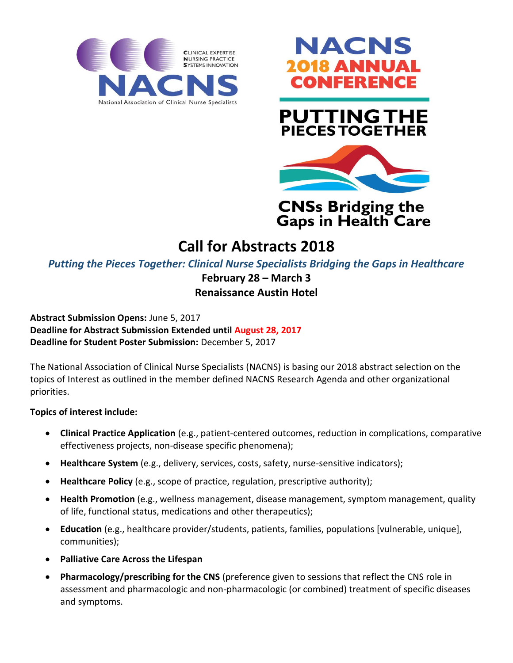



# **PUTTING THE PIECES TOGETHER**



## **CNSs Bridging the Gaps in Health Care**

# **Call for Abstracts 2018**

*Putting the Pieces Together: Clinical Nurse Specialists Bridging the Gaps in Healthcare*

## **February 28 – March 3**

## **Renaissance Austin Hotel**

**Abstract Submission Opens:** June 5, 2017 **Deadline for Abstract Submission Extended until August 28, 2017 Deadline for Student Poster Submission:** December 5, 2017

The National Association of Clinical Nurse Specialists (NACNS) is basing our 2018 abstract selection on the topics of Interest as outlined in the member defined NACNS Research Agenda and other organizational priorities.

### **Topics of interest include:**

- **Clinical Practice Application** (e.g., patient-centered outcomes, reduction in complications, comparative effectiveness projects, non-disease specific phenomena);
- **Healthcare System** (e.g., delivery, services, costs, safety, nurse-sensitive indicators);
- **Healthcare Policy** (e.g., scope of practice, regulation, prescriptive authority);
- **Health Promotion** (e.g., wellness management, disease management, symptom management, quality of life, functional status, medications and other therapeutics);
- **Education** (e.g., healthcare provider/students, patients, families, populations [vulnerable, unique], communities);
- **Palliative Care Across the Lifespan**
- **Pharmacology/prescribing for the CNS** (preference given to sessions that reflect the CNS role in assessment and pharmacologic and non-pharmacologic (or combined) treatment of specific diseases and symptoms.